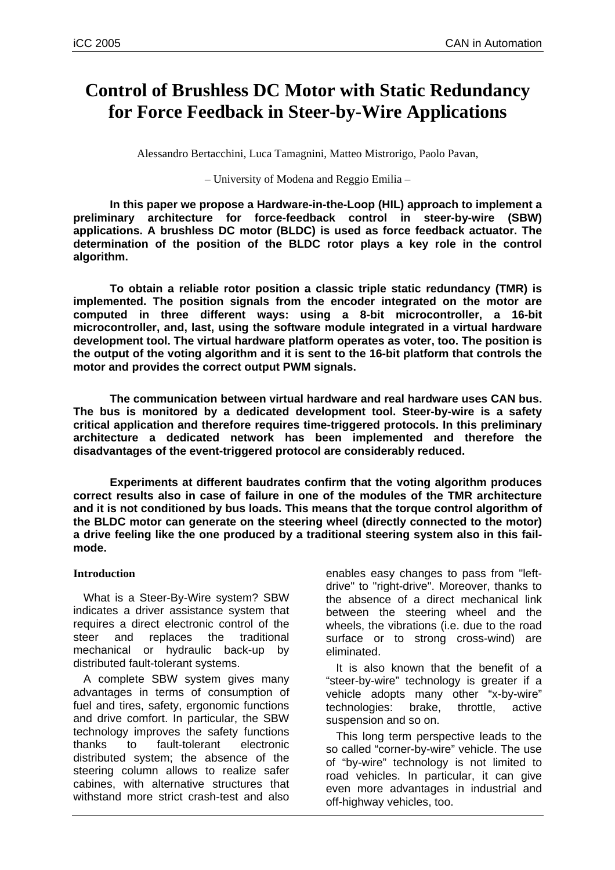# **Control of Brushless DC Motor with Static Redundancy for Force Feedback in Steer-by-Wire Applications**

Alessandro Bertacchini, Luca Tamagnini, Matteo Mistrorigo, Paolo Pavan,

– University of Modena and Reggio Emilia –

**In this paper we propose a Hardware-in-the-Loop (HIL) approach to implement a preliminary architecture for force-feedback control in steer-by-wire (SBW) applications. A brushless DC motor (BLDC) is used as force feedback actuator. The determination of the position of the BLDC rotor plays a key role in the control algorithm.** 

**To obtain a reliable rotor position a classic triple static redundancy (TMR) is implemented. The position signals from the encoder integrated on the motor are computed in three different ways: using a 8-bit microcontroller, a 16-bit microcontroller, and, last, using the software module integrated in a virtual hardware development tool. The virtual hardware platform operates as voter, too. The position is the output of the voting algorithm and it is sent to the 16-bit platform that controls the motor and provides the correct output PWM signals.** 

**The communication between virtual hardware and real hardware uses CAN bus. The bus is monitored by a dedicated development tool. Steer-by-wire is a safety critical application and therefore requires time-triggered protocols. In this preliminary architecture a dedicated network has been implemented and therefore the disadvantages of the event-triggered protocol are considerably reduced.** 

**Experiments at different baudrates confirm that the voting algorithm produces correct results also in case of failure in one of the modules of the TMR architecture and it is not conditioned by bus loads. This means that the torque control algorithm of the BLDC motor can generate on the steering wheel (directly connected to the motor) a drive feeling like the one produced by a traditional steering system also in this failmode.** 

## **Introduction**

What is a Steer-By-Wire system? SBW indicates a driver assistance system that requires a direct electronic control of the steer and replaces the traditional mechanical or hydraulic back-up by distributed fault-tolerant systems.

A complete SBW system gives many advantages in terms of consumption of fuel and tires, safety, ergonomic functions and drive comfort. In particular, the SBW technology improves the safety functions thanks to fault-tolerant electronic distributed system; the absence of the steering column allows to realize safer cabines, with alternative structures that withstand more strict crash-test and also

enables easy changes to pass from "leftdrive" to "right-drive". Moreover, thanks to the absence of a direct mechanical link between the steering wheel and the wheels, the vibrations (i.e. due to the road surface or to strong cross-wind) are eliminated.

It is also known that the benefit of a "steer-by-wire" technology is greater if a vehicle adopts many other "x-by-wire" technologies: brake, throttle, active suspension and so on.

This long term perspective leads to the so called "corner-by-wire" vehicle. The use of "by-wire" technology is not limited to road vehicles. In particular, it can give even more advantages in industrial and off-highway vehicles, too.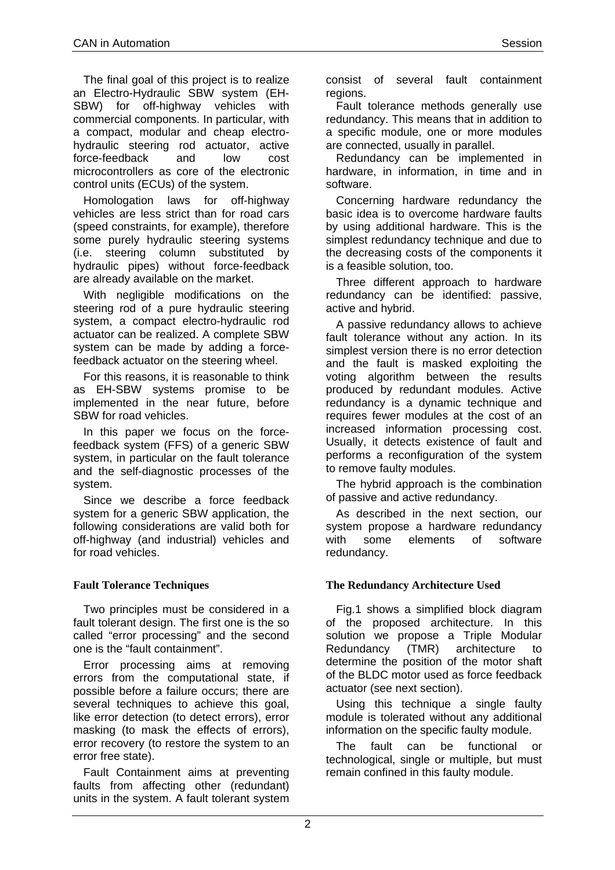The final goal of this project is to realize an Electro-Hydraulic SBW system (EH-SBW) for off-highway vehicles with commercial components. In particular, with a compact, modular and cheap electrohydraulic steering rod actuator, active force-feedback and low cost microcontrollers as core of the electronic control units (ECUs) of the system.

Homologation laws for off-highway vehicles are less strict than for road cars (speed constraints, for example), therefore some purely hydraulic steering systems (i.e. steering column substituted by hydraulic pipes) without force-feedback are already available on the market.

With negligible modifications on the steering rod of a pure hydraulic steering system, a compact electro-hydraulic rod actuator can be realized. A complete SBW system can be made by adding a forcefeedback actuator on the steering wheel.

For this reasons, it is reasonable to think as EH-SBW systems promise to be implemented in the near future, before SBW for road vehicles.

In this paper we focus on the forcefeedback system (FFS) of a generic SBW system, in particular on the fault tolerance and the self-diagnostic processes of the system.

Since we describe a force feedback system for a generic SBW application, the following considerations are valid both for off-highway (and industrial) vehicles and for road vehicles.

# **Fault Tolerance Techniques**

Two principles must be considered in a fault tolerant design. The first one is the so called "error processing" and the second one is the "fault containment".

Error processing aims at removing errors from the computational state, if possible before a failure occurs; there are several techniques to achieve this goal, like error detection (to detect errors), error masking (to mask the effects of errors), error recovery (to restore the system to an error free state).

Fault Containment aims at preventing faults from affecting other (redundant) units in the system. A fault tolerant system

consist of several fault containment regions.

Fault tolerance methods generally use redundancy. This means that in addition to a specific module, one or more modules are connected, usually in parallel.

Redundancy can be implemented in hardware, in information, in time and in software.

Concerning hardware redundancy the basic idea is to overcome hardware faults by using additional hardware. This is the simplest redundancy technique and due to the decreasing costs of the components it is a feasible solution, too.

Three different approach to hardware redundancy can be identified: passive, active and hybrid.

A passive redundancy allows to achieve fault tolerance without any action. In its simplest version there is no error detection and the fault is masked exploiting the voting algorithm between the results produced by redundant modules. Active redundancy is a dynamic technique and requires fewer modules at the cost of an increased information processing cost. Usually, it detects existence of fault and performs a reconfiguration of the system to remove faulty modules.

The hybrid approach is the combination of passive and active redundancy.

As described in the next section, our system propose a hardware redundancy with some elements of software redundancy.

# **The Redundancy Architecture Used**

[Fig.1](#page-2-0) shows a simplified block diagram of the proposed architecture. In this solution we propose a Triple Modular Redundancy (TMR) architecture to determine the position of the motor shaft of the BLDC motor used as force feedback actuator (see next section).

Using this technique a single faulty module is tolerated without any additional information on the specific faulty module.

The fault can be functional or technological, single or multiple, but must remain confined in this faulty module.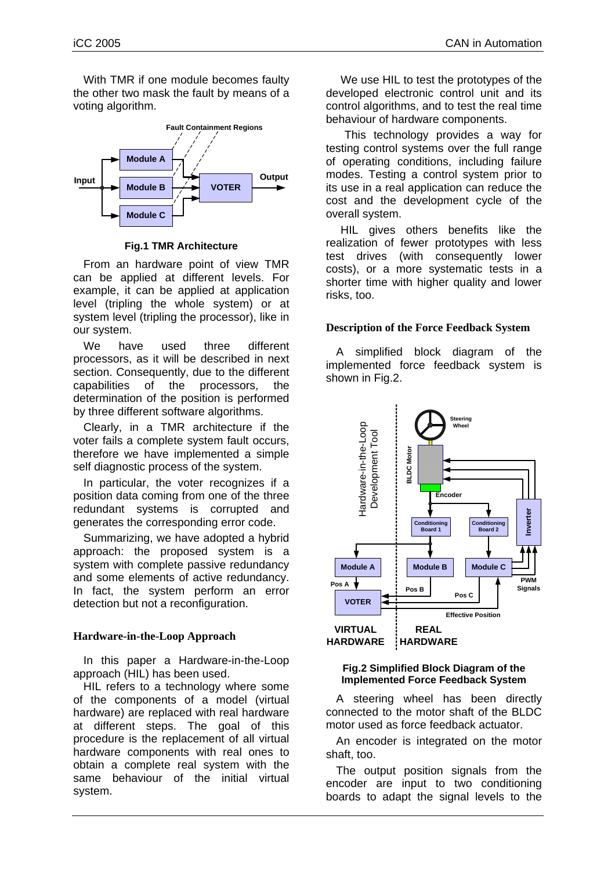With TMR if one module becomes faulty the other two mask the fault by means of a voting algorithm.

<span id="page-2-0"></span>

**Fig.1 TMR Architecture**

From an hardware point of view TMR can be applied at different levels. For example, it can be applied at application level (tripling the whole system) or at system level (tripling the processor), like in our system.

We have used three different processors, as it will be described in next section. Consequently, due to the different capabilities of the processors, the determination of the position is performed by three different software algorithms.

Clearly, in a TMR architecture if the voter fails a complete system fault occurs, therefore we have implemented a simple self diagnostic process of the system.

In particular, the voter recognizes if a position data coming from one of the three redundant systems is corrupted and generates the corresponding error code.

Summarizing, we have adopted a hybrid approach: the proposed system is a system with complete passive redundancy and some elements of active redundancy. In fact, the system perform an error detection but not a reconfiguration.

## **Hardware-in-the-Loop Approach**

In this paper a Hardware-in-the-Loop approach (HIL) has been used.

HIL refers to a technology where some of the components of a model (virtual hardware) are replaced with real hardware at different steps. The goal of this procedure is the replacement of all virtual hardware components with real ones to obtain a complete real system with the same behaviour of the initial virtual system.

We use HIL to test the prototypes of the developed electronic control unit and its control algorithms, and to test the real time behaviour of hardware components.

This technology provides a way for testing control systems over the full range of operating conditions, including failure modes. Testing a control system prior to its use in a real application can reduce the cost and the development cycle of the overall system.

HIL gives others benefits like the realization of fewer prototypes with less test drives (with consequently lower costs), or a more systematic tests in a shorter time with higher quality and lower risks, too.

## **Description of the Force Feedback System**

A simplified block diagram of the implemented force feedback system is shown in [Fig.2](#page-2-1).

<span id="page-2-1"></span>

#### **Fig.2 Simplified Block Diagram of the Implemented Force Feedback System**

A steering wheel has been directly connected to the motor shaft of the BLDC motor used as force feedback actuator.

An encoder is integrated on the motor shaft, too.

The output position signals from the encoder are input to two conditioning boards to adapt the signal levels to the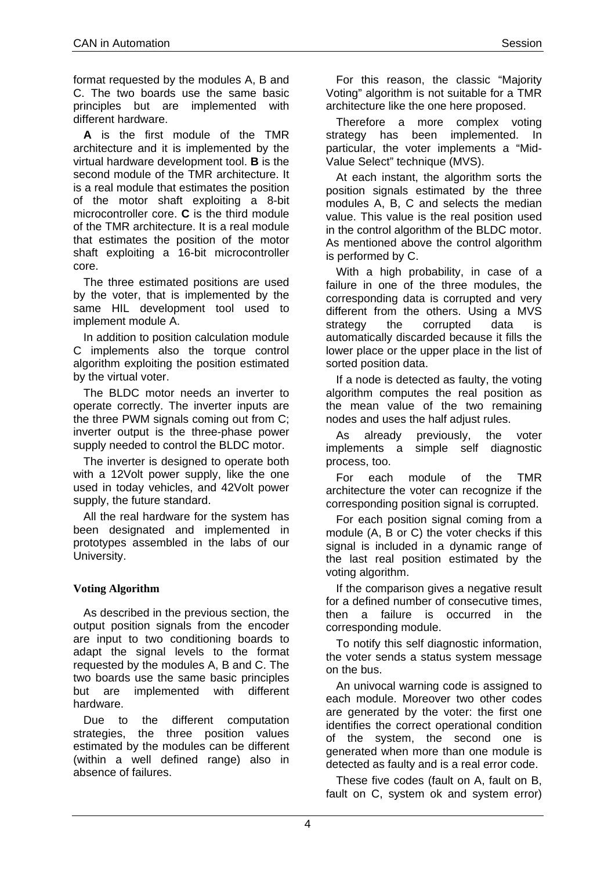format requested by the modules A, B and C. The two boards use the same basic principles but are implemented with different hardware.

**A** is the first module of the TMR architecture and it is implemented by the virtual hardware development tool. **B** is the second module of the TMR architecture. It is a real module that estimates the position of the motor shaft exploiting a 8-bit microcontroller core. **C** is the third module of the TMR architecture. It is a real module that estimates the position of the motor shaft exploiting a 16-bit microcontroller core.

The three estimated positions are used by the voter, that is implemented by the same HIL development tool used to implement module A.

In addition to position calculation module C implements also the torque control algorithm exploiting the position estimated by the virtual voter.

The BLDC motor needs an inverter to operate correctly. The inverter inputs are the three PWM signals coming out from C; inverter output is the three-phase power supply needed to control the BLDC motor.

The inverter is designed to operate both with a 12Volt power supply, like the one used in today vehicles, and 42Volt power supply, the future standard.

All the real hardware for the system has been designated and implemented in prototypes assembled in the labs of our University.

## **Voting Algorithm**

As described in the previous section, the output position signals from the encoder are input to two conditioning boards to adapt the signal levels to the format requested by the modules A, B and C. The two boards use the same basic principles but are implemented with different hardware.

Due to the different computation strategies, the three position values estimated by the modules can be different (within a well defined range) also in absence of failures.

For this reason, the classic "Majority Voting" algorithm is not suitable for a TMR architecture like the one here proposed.

Therefore a more complex voting strategy has been implemented. In particular, the voter implements a "Mid-Value Select" technique (MVS).

At each instant, the algorithm sorts the position signals estimated by the three modules A, B, C and selects the median value. This value is the real position used in the control algorithm of the BLDC motor. As mentioned above the control algorithm is performed by C.

With a high probability, in case of a failure in one of the three modules, the corresponding data is corrupted and very different from the others. Using a MVS strategy the corrupted data is automatically discarded because it fills the lower place or the upper place in the list of sorted position data.

If a node is detected as faulty, the voting algorithm computes the real position as the mean value of the two remaining nodes and uses the half adjust rules.

As already previously, the voter implements a simple self diagnostic process, too.

For each module of the TMR architecture the voter can recognize if the corresponding position signal is corrupted.

For each position signal coming from a module (A, B or C) the voter checks if this signal is included in a dynamic range of the last real position estimated by the voting algorithm.

If the comparison gives a negative result for a defined number of consecutive times. then a failure is occurred in the corresponding module.

To notify this self diagnostic information, the voter sends a status system message on the bus.

An univocal warning code is assigned to each module. Moreover two other codes are generated by the voter: the first one identifies the correct operational condition of the system, the second one is generated when more than one module is detected as faulty and is a real error code.

These five codes (fault on A, fault on B, fault on C, system ok and system error)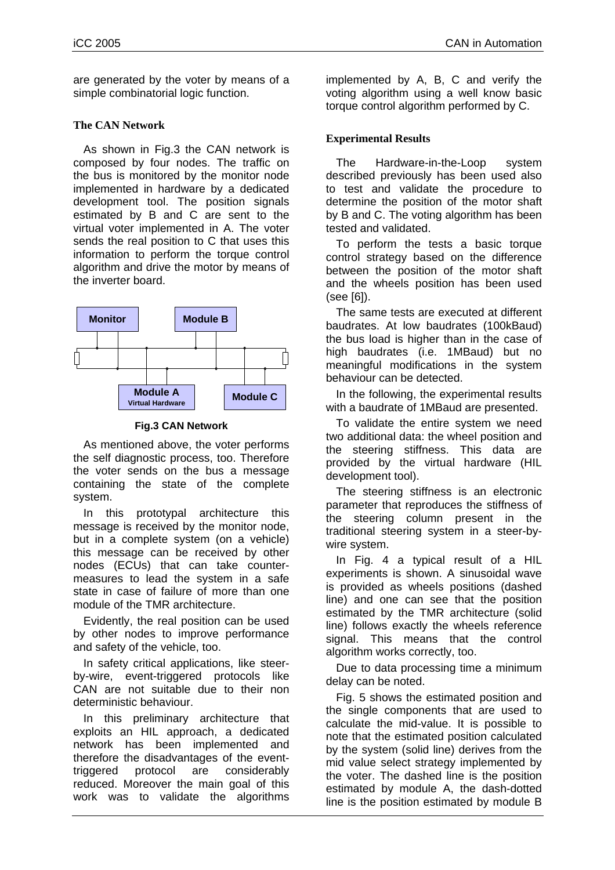are generated by the voter by means of a simple combinatorial logic function.

### **The CAN Network**

As shown in [Fig.3](#page-4-0) the CAN network is composed by four nodes. The traffic on the bus is monitored by the monitor node implemented in hardware by a dedicated development tool. The position signals estimated by B and C are sent to the virtual voter implemented in A. The voter sends the real position to C that uses this information to perform the torque control algorithm and drive the motor by means of the inverter board.

<span id="page-4-0"></span>

**Fig.3 CAN Network** 

As mentioned above, the voter performs the self diagnostic process, too. Therefore the voter sends on the bus a message containing the state of the complete system.

In this prototypal architecture this message is received by the monitor node, but in a complete system (on a vehicle) this message can be received by other nodes (ECUs) that can take countermeasures to lead the system in a safe state in case of failure of more than one module of the TMR architecture.

Evidently, the real position can be used by other nodes to improve performance and safety of the vehicle, too.

In safety critical applications, like steerby-wire, event-triggered protocols like CAN are not suitable due to their non deterministic behaviour.

In this preliminary architecture that exploits an HIL approach, a dedicated network has been implemented and therefore the disadvantages of the eventtriggered protocol are considerably reduced. Moreover the main goal of this work was to validate the algorithms

implemented by A, B, C and verify the voting algorithm using a well know basic torque control algorithm performed by C.

## **Experimental Results**

The Hardware-in-the-Loop system described previously has been used also to test and validate the procedure to determine the position of the motor shaft by B and C. The voting algorithm has been tested and validated.

To perform the tests a basic torque control strategy based on the difference between the position of the motor shaft and the wheels position has been used (see [6]).

The same tests are executed at different baudrates. At low baudrates (100kBaud) the bus load is higher than in the case of high baudrates (i.e. 1MBaud) but no meaningful modifications in the system behaviour can be detected.

In the following, the experimental results with a baudrate of 1MBaud are presented.

To validate the entire system we need two additional data: the wheel position and the steering stiffness. This data are provided by the virtual hardware (HIL development tool).

The steering stiffness is an electronic parameter that reproduces the stiffness of the steering column present in the traditional steering system in a steer-bywire system.

In [Fig. 4](#page-5-0) a typical result of a HIL experiments is shown. A sinusoidal wave is provided as wheels positions (dashed line) and one can see that the position estimated by the TMR architecture (solid line) follows exactly the wheels reference signal. This means that the control algorithm works correctly, too.

Due to data processing time a minimum delay can be noted.

[Fig. 5](#page-5-1) shows the estimated position and the single components that are used to calculate the mid-value. It is possible to note that the estimated position calculated by the system (solid line) derives from the mid value select strategy implemented by the voter. The dashed line is the position estimated by module A, the dash-dotted line is the position estimated by module B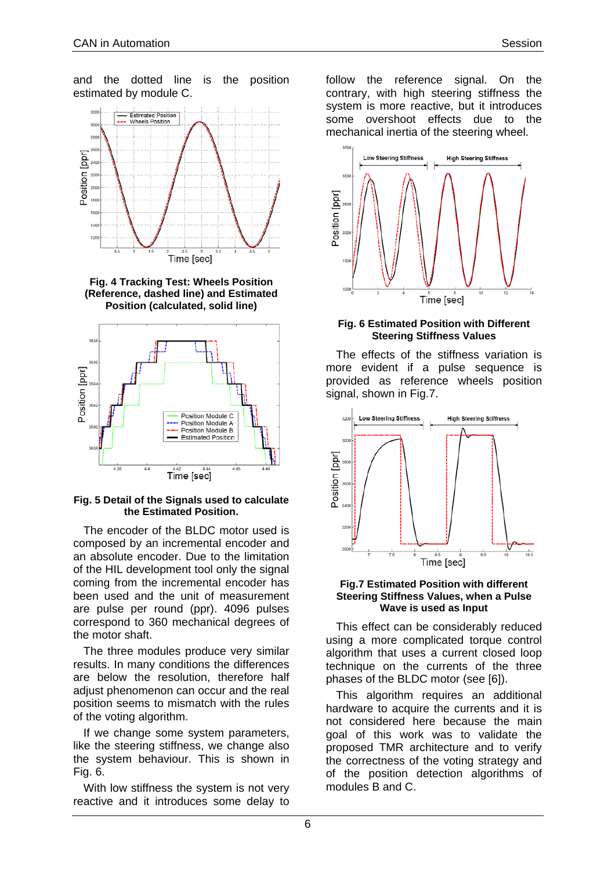<span id="page-5-0"></span>

**Fig. 4 Tracking Test: Wheels Position (Reference, dashed line) and Estimated Position (calculated, solid line)** 

<span id="page-5-1"></span>

#### **Fig. 5 Detail of the Signals used to calculate the Estimated Position.**

The encoder of the BLDC motor used is composed by an incremental encoder and an absolute encoder. Due to the limitation of the HIL development tool only the signal coming from the incremental encoder has been used and the unit of measurement are pulse per round (ppr). 4096 pulses correspond to 360 mechanical degrees of the motor shaft.

The three modules produce very similar results. In many conditions the differences are below the resolution, therefore half adjust phenomenon can occur and the real position seems to mismatch with the rules of the voting algorithm.

If we change some system parameters, like the steering stiffness, we change also the system behaviour. This is shown in [Fig. 6.](#page-5-2)

With low stiffness the system is not very reactive and it introduces some delay to follow the reference signal. On the contrary, with high steering stiffness the system is more reactive, but it introduces some overshoot effects due to the mechanical inertia of the steering wheel.

<span id="page-5-2"></span>

#### **Fig. 6 Estimated Position with Different Steering Stiffness Values**

The effects of the stiffness variation is more evident if a pulse sequence is provided as reference wheels position signal, shown in [Fig.7.](#page-5-3)

<span id="page-5-3"></span>

#### **Fig.7 Estimated Position with different Steering Stiffness Values, when a Pulse Wave is used as Input**

This effect can be considerably reduced using a more complicated torque control algorithm that uses a current closed loop technique on the currents of the three phases of the BLDC motor (see [6]).

This algorithm requires an additional hardware to acquire the currents and it is not considered here because the main goal of this work was to validate the proposed TMR architecture and to verify the correctness of the voting strategy and of the position detection algorithms of modules B and C.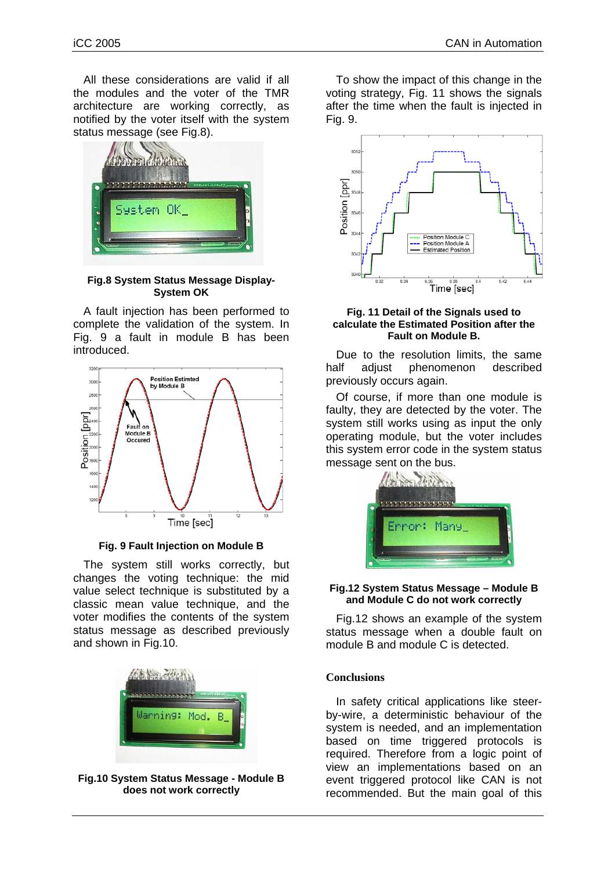All these considerations are valid if all the modules and the voter of the TMR architecture are working correctly, as notified by the voter itself with the system status message (see [Fig.8\)](#page-6-0).

<span id="page-6-0"></span>

**Fig.8 System Status Message Display-System OK** 

A fault injection has been performed to complete the validation of the system. In [Fig. 9](#page-6-1) a fault in module B has been introduced.

<span id="page-6-1"></span>

**Fig. 9 Fault Injection on Module B** 

The system still works correctly, but changes the voting technique: the mid value select technique is substituted by a classic mean value technique, and the voter modifies the contents of the system status message as described previously and shown in [Fig.10.](#page-6-2)

<span id="page-6-2"></span>

**Fig.10 System Status Message - Module B does not work correctly**

To show the impact of this change in the voting strategy, [Fig. 11](#page-6-3) shows the signals after the time when the fault is injected in [Fig. 9.](#page-6-1)

<span id="page-6-3"></span>

#### **Fig. 11 Detail of the Signals used to calculate the Estimated Position after the Fault on Module B.**

Due to the resolution limits, the same half adjust phenomenon described previously occurs again.

Of course, if more than one module is faulty, they are detected by the voter. The system still works using as input the only operating module, but the voter includes this system error code in the system status message sent on the bus.

<span id="page-6-4"></span>

#### **Fig.12 System Status Message – Module B and Module C do not work correctly**

[Fig.12](#page-6-4) shows an example of the system status message when a double fault on module B and module C is detected.

#### **Conclusions**

In safety critical applications like steerby-wire, a deterministic behaviour of the system is needed, and an implementation based on time triggered protocols is required. Therefore from a logic point of view an implementations based on an event triggered protocol like CAN is not recommended. But the main goal of this